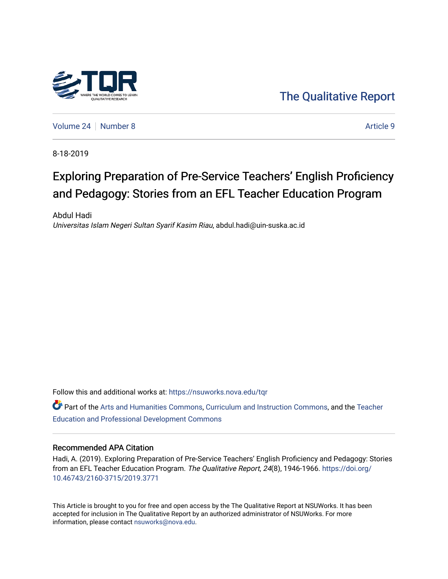

[The Qualitative Report](https://nsuworks.nova.edu/tqr) 

[Volume 24](https://nsuworks.nova.edu/tqr/vol24) [Number 8](https://nsuworks.nova.edu/tqr/vol24/iss8) Article 9

8-18-2019

# Exploring Preparation of Pre-Service Teachers' English Proficiency and Pedagogy: Stories from an EFL Teacher Education Program

Abdul Hadi Universitas Islam Negeri Sultan Syarif Kasim Riau, abdul.hadi@uin-suska.ac.id

Follow this and additional works at: [https://nsuworks.nova.edu/tqr](https://nsuworks.nova.edu/tqr?utm_source=nsuworks.nova.edu%2Ftqr%2Fvol24%2Fiss8%2F9&utm_medium=PDF&utm_campaign=PDFCoverPages) 

Part of the [Arts and Humanities Commons,](http://network.bepress.com/hgg/discipline/438?utm_source=nsuworks.nova.edu%2Ftqr%2Fvol24%2Fiss8%2F9&utm_medium=PDF&utm_campaign=PDFCoverPages) [Curriculum and Instruction Commons,](http://network.bepress.com/hgg/discipline/786?utm_source=nsuworks.nova.edu%2Ftqr%2Fvol24%2Fiss8%2F9&utm_medium=PDF&utm_campaign=PDFCoverPages) and the Teacher [Education and Professional Development Commons](http://network.bepress.com/hgg/discipline/803?utm_source=nsuworks.nova.edu%2Ftqr%2Fvol24%2Fiss8%2F9&utm_medium=PDF&utm_campaign=PDFCoverPages)

#### Recommended APA Citation

Hadi, A. (2019). Exploring Preparation of Pre-Service Teachers' English Proficiency and Pedagogy: Stories from an EFL Teacher Education Program. The Qualitative Report, 24(8), 1946-1966. [https://doi.org/](https://doi.org/10.46743/2160-3715/2019.3771) [10.46743/2160-3715/2019.3771](https://doi.org/10.46743/2160-3715/2019.3771)

This Article is brought to you for free and open access by the The Qualitative Report at NSUWorks. It has been accepted for inclusion in The Qualitative Report by an authorized administrator of NSUWorks. For more information, please contact [nsuworks@nova.edu.](mailto:nsuworks@nova.edu)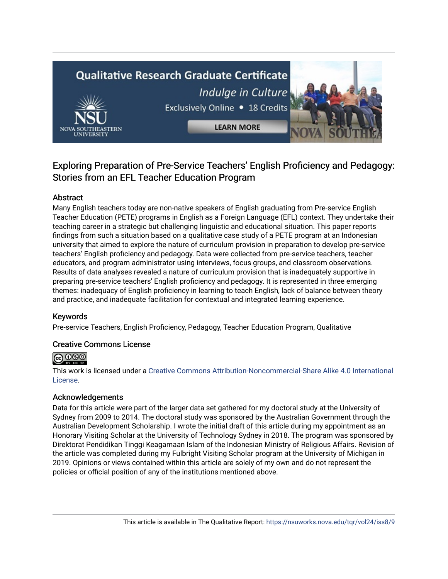# **Qualitative Research Graduate Certificate** Indulge in Culture



Exclusively Online . 18 Credits

**LEARN MORE** 

## Exploring Preparation of Pre-Service Teachers' English Proficiency and Pedagogy: Stories from an EFL Teacher Education Program

## Abstract

Many English teachers today are non-native speakers of English graduating from Pre-service English Teacher Education (PETE) programs in English as a Foreign Language (EFL) context. They undertake their teaching career in a strategic but challenging linguistic and educational situation. This paper reports findings from such a situation based on a qualitative case study of a PETE program at an Indonesian university that aimed to explore the nature of curriculum provision in preparation to develop pre-service teachers' English proficiency and pedagogy. Data were collected from pre-service teachers, teacher educators, and program administrator using interviews, focus groups, and classroom observations. Results of data analyses revealed a nature of curriculum provision that is inadequately supportive in preparing pre-service teachers' English proficiency and pedagogy. It is represented in three emerging themes: inadequacy of English proficiency in learning to teach English, lack of balance between theory and practice, and inadequate facilitation for contextual and integrated learning experience.

## Keywords

Pre-service Teachers, English Proficiency, Pedagogy, Teacher Education Program, Qualitative

## Creative Commons License



This work is licensed under a [Creative Commons Attribution-Noncommercial-Share Alike 4.0 International](https://creativecommons.org/licenses/by-nc-sa/4.0/)  [License](https://creativecommons.org/licenses/by-nc-sa/4.0/).

## Acknowledgements

Data for this article were part of the larger data set gathered for my doctoral study at the University of Sydney from 2009 to 2014. The doctoral study was sponsored by the Australian Government through the Australian Development Scholarship. I wrote the initial draft of this article during my appointment as an Honorary Visiting Scholar at the University of Technology Sydney in 2018. The program was sponsored by Direktorat Pendidikan Tinggi Keagamaan Islam of the Indonesian Ministry of Religious Affairs. Revision of the article was completed during my Fulbright Visiting Scholar program at the University of Michigan in 2019. Opinions or views contained within this article are solely of my own and do not represent the policies or official position of any of the institutions mentioned above.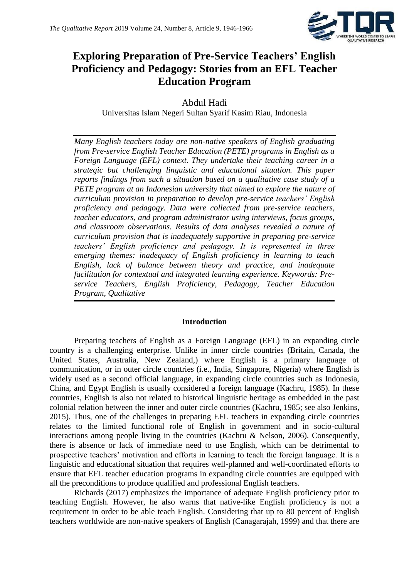

## **Exploring Preparation of Pre-Service Teachers' English Proficiency and Pedagogy: Stories from an EFL Teacher Education Program**

Abdul Hadi Universitas Islam Negeri Sultan Syarif Kasim Riau, Indonesia

*Many English teachers today are non-native speakers of English graduating from Pre-service English Teacher Education (PETE) programs in English as a Foreign Language (EFL) context. They undertake their teaching career in a strategic but challenging linguistic and educational situation. This paper reports findings from such a situation based on a qualitative case study of a PETE program at an Indonesian university that aimed to explore the nature of curriculum provision in preparation to develop pre-service teachers' English proficiency and pedagogy. Data were collected from pre-service teachers, teacher educators, and program administrator using interviews, focus groups, and classroom observations. Results of data analyses revealed a nature of curriculum provision that is inadequately supportive in preparing pre-service teachers' English proficiency and pedagogy. It is represented in three emerging themes: inadequacy of English proficiency in learning to teach English, lack of balance between theory and practice, and inadequate facilitation for contextual and integrated learning experience. Keywords: Preservice Teachers, English Proficiency, Pedagogy, Teacher Education Program, Qualitative*

## **Introduction**

Preparing teachers of English as a Foreign Language (EFL) in an expanding circle country is a challenging enterprise. Unlike in inner circle countries (Britain, Canada, the United States, Australia, New Zealand,) where English is a primary language of communication, or in outer circle countries (i.e., India, Singapore, Nigeria) where English is widely used as a second official language, in expanding circle countries such as Indonesia, China, and Egypt English is usually considered a foreign language (Kachru, 1985). In these countries, English is also not related to historical linguistic heritage as embedded in the past colonial relation between the inner and outer circle countries (Kachru, 1985; see also Jenkins, 2015). Thus, one of the challenges in preparing EFL teachers in expanding circle countries relates to the limited functional role of English in government and in socio-cultural interactions among people living in the countries (Kachru & Nelson, 2006). Consequently, there is absence or lack of immediate need to use English, which can be detrimental to prospective teachers' motivation and efforts in learning to teach the foreign language. It is a linguistic and educational situation that requires well-planned and well-coordinated efforts to ensure that EFL teacher education programs in expanding circle countries are equipped with all the preconditions to produce qualified and professional English teachers.

Richards (2017) emphasizes the importance of adequate English proficiency prior to teaching English. However, he also warns that native-like English proficiency is not a requirement in order to be able teach English. Considering that up to 80 percent of English teachers worldwide are non-native speakers of English (Canagarajah, 1999) and that there are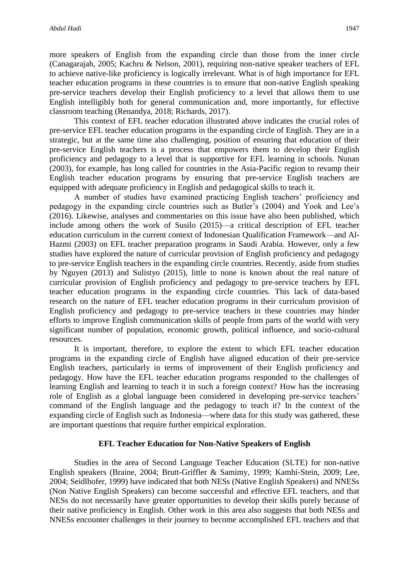more speakers of English from the expanding circle than those from the inner circle (Canagarajah, 2005; Kachru & Nelson, 2001), requiring non-native speaker teachers of EFL to achieve native-like proficiency is logically irrelevant. What is of high importance for EFL teacher education programs in these countries is to ensure that non-native English speaking pre-service teachers develop their English proficiency to a level that allows them to use English intelligibly both for general communication and, more importantly, for effective classroom teaching (Renandya, 2018; Richards, 2017).

This context of EFL teacher education illustrated above indicates the crucial roles of pre-service EFL teacher education programs in the expanding circle of English. They are in a strategic, but at the same time also challenging, position of ensuring that education of their pre-service English teachers is a process that empowers them to develop their English proficiency and pedagogy to a level that is supportive for EFL learning in schools. Nunan (2003), for example, has long called for countries in the Asia-Pacific region to revamp their English teacher education programs by ensuring that pre-service English teachers are equipped with adequate proficiency in English and pedagogical skills to teach it.

A number of studies have examined practicing English teachers' proficiency and pedagogy in the expanding circle countries such as Butler's (2004) and Yook and Lee's (2016). Likewise, analyses and commentaries on this issue have also been published, which include among others the work of Susilo (2015)—a critical description of EFL teacher education curriculum in the current context of Indonesian Qualification Framework—and Al-Hazmi (2003) on EFL teacher preparation programs in Saudi Arabia. However, only a few studies have explored the nature of curricular provision of English proficiency and pedagogy to pre-service English teachers in the expanding circle countries. Recently, aside from studies by Nguyen (2013) and Sulistyo (2015), little to none is known about the real nature of curricular provision of English proficiency and pedagogy to pre-service teachers by EFL teacher education programs in the expanding circle countries. This lack of data-based research on the nature of EFL teacher education programs in their curriculum provision of English proficiency and pedagogy to pre-service teachers in these countries may hinder efforts to improve English communication skills of people from parts of the world with very significant number of population, economic growth, political influence, and socio-cultural resources.

It is important, therefore, to explore the extent to which EFL teacher education programs in the expanding circle of English have aligned education of their pre-service English teachers, particularly in terms of improvement of their English proficiency and pedagogy. How have the EFL teacher education programs responded to the challenges of learning English and learning to teach it in such a foreign context? How has the increasing role of English as a global language been considered in developing pre-service teachers' command of the English language and the pedagogy to teach it? In the context of the expanding circle of English such as Indonesia—where data for this study was gathered, these are important questions that require further empirical exploration.

#### **EFL Teacher Education for Non-Native Speakers of English**

Studies in the area of Second Language Teacher Education (SLTE) for non-native English speakers (Braine, 2004; Brutt-Griffler & Samimy, 1999; Kamhi-Stein, 2009; Lee, 2004; Seidlhofer, 1999) have indicated that both NESs (Native English Speakers) and NNESs (Non Native English Speakers) can become successful and effective EFL teachers, and that NESs do not necessarily have greater opportunities to develop their skills purely because of their native proficiency in English. Other work in this area also suggests that both NESs and NNESs encounter challenges in their journey to become accomplished EFL teachers and that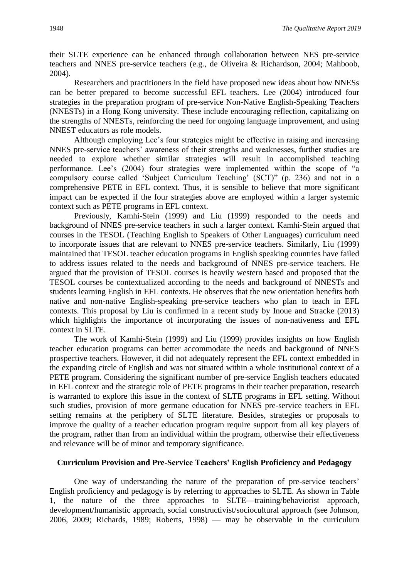their SLTE experience can be enhanced through collaboration between NES pre-service teachers and NNES pre-service teachers (e.g., de Oliveira & Richardson, 2004; Mahboob, 2004).

Researchers and practitioners in the field have proposed new ideas about how NNESs can be better prepared to become successful EFL teachers. Lee (2004) introduced four strategies in the preparation program of pre-service Non-Native English-Speaking Teachers (NNESTs) in a Hong Kong university. These include encouraging reflection, capitalizing on the strengths of NNESTs, reinforcing the need for ongoing language improvement, and using NNEST educators as role models.

Although employing Lee's four strategies might be effective in raising and increasing NNES pre-service teachers' awareness of their strengths and weaknesses, further studies are needed to explore whether similar strategies will result in accomplished teaching performance. Lee's (2004) four strategies were implemented within the scope of "a compulsory course called 'Subject Curriculum Teaching' (SCT)" (p. 236) and not in a comprehensive PETE in EFL context. Thus, it is sensible to believe that more significant impact can be expected if the four strategies above are employed within a larger systemic context such as PETE programs in EFL context.

Previously, Kamhi-Stein (1999) and Liu (1999) responded to the needs and background of NNES pre-service teachers in such a larger context. Kamhi-Stein argued that courses in the TESOL (Teaching English to Speakers of Other Languages) curriculum need to incorporate issues that are relevant to NNES pre-service teachers. Similarly, Liu (1999) maintained that TESOL teacher education programs in English speaking countries have failed to address issues related to the needs and background of NNES pre-service teachers. He argued that the provision of TESOL courses is heavily western based and proposed that the TESOL courses be contextualized according to the needs and background of NNESTs and students learning English in EFL contexts. He observes that the new orientation benefits both native and non-native English-speaking pre-service teachers who plan to teach in EFL contexts. This proposal by Liu is confirmed in a recent study by Inoue and Stracke (2013) which highlights the importance of incorporating the issues of non-nativeness and EFL context in SLTE.

The work of Kamhi-Stein (1999) and Liu (1999) provides insights on how English teacher education programs can better accommodate the needs and background of NNES prospective teachers. However, it did not adequately represent the EFL context embedded in the expanding circle of English and was not situated within a whole institutional context of a PETE program. Considering the significant number of pre-service English teachers educated in EFL context and the strategic role of PETE programs in their teacher preparation, research is warranted to explore this issue in the context of SLTE programs in EFL setting. Without such studies, provision of more germane education for NNES pre-service teachers in EFL setting remains at the periphery of SLTE literature. Besides, strategies or proposals to improve the quality of a teacher education program require support from all key players of the program, rather than from an individual within the program, otherwise their effectiveness and relevance will be of minor and temporary significance.

### **Curriculum Provision and Pre-Service Teachers' English Proficiency and Pedagogy**

One way of understanding the nature of the preparation of pre-service teachers' English proficiency and pedagogy is by referring to approaches to SLTE. As shown in Table 1, the nature of the three approaches to SLTE—training/behaviorist approach, development/humanistic approach, social constructivist/sociocultural approach (see Johnson, 2006, 2009; Richards, 1989; Roberts, 1998) — may be observable in the curriculum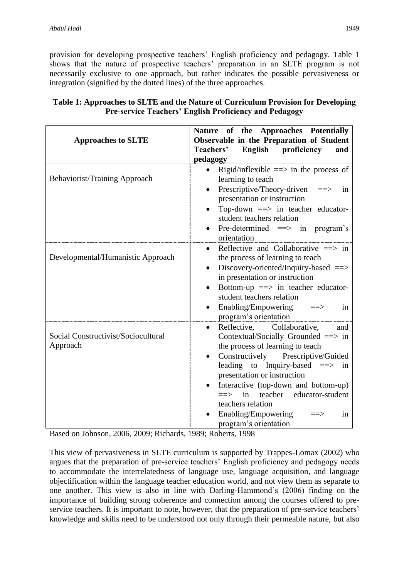provision for developing prospective teachers' English proficiency and pedagogy. Table 1 shows that the nature of prospective teachers' preparation in an SLTE program is not necessarily exclusive to one approach, but rather indicates the possible pervasiveness or integration (signified by the dotted lines) of the three approaches.

| <b>Approaches to SLTE</b>                       | Nature of the Approaches Potentially<br>Observable in the Preparation of Student<br>Teachers'<br>English proficiency<br>and<br>pedagogy                                                                                                                                                                                                                                                                   |
|-------------------------------------------------|-----------------------------------------------------------------------------------------------------------------------------------------------------------------------------------------------------------------------------------------------------------------------------------------------------------------------------------------------------------------------------------------------------------|
| Behaviorist/Training Approach                   | Rigid/inflexible $\equiv \gt$ in the process of<br>$\bullet$<br>learning to teach<br>Prescriptive/Theory-driven ==><br>in<br>presentation or instruction<br>Top-down $\equiv$ > in teacher educator-<br>student teachers relation<br>Pre-determined $\implies$ in program's<br>orientation                                                                                                                |
| Developmental/Humanistic Approach               | Reflective and Collaborative $\Rightarrow$ in<br>$\bullet$<br>the process of learning to teach<br>Discovery-oriented/Inquiry-based $\equiv$<br>in presentation or instruction<br>Bottom-up ==> in teacher educator-<br>student teachers relation<br>Enabling/Empowering<br>in<br>$\equiv \equiv \gt$<br>program's orientation                                                                             |
| Social Constructivist/Sociocultural<br>Approach | Reflective,<br>Collaborative,<br>$\bullet$<br>and<br>Contextual/Socially Grounded ==> in<br>the process of learning to teach<br>Constructively Prescriptive/Guided<br>leading to Inquiry-based $==>$ in<br>presentation or instruction<br>Interactive (top-down and bottom-up)<br>teacher educator-student<br>$\Rightarrow$ in<br>teachers relation<br>Enabling/Empowering<br>1n<br>program's orientation |

## **Table 1: Approaches to SLTE and the Nature of Curriculum Provision for Developing Pre-service Teachers' English Proficiency and Pedagogy**

Based on Johnson, 2006, 2009; Richards, 1989; Roberts, 1998

This view of pervasiveness in SLTE curriculum is supported by Trappes-Lomax (2002) who argues that the preparation of pre-service teachers' English proficiency and pedagogy needs to accommodate the interrelatedness of language use, language acquisition, and language objectification within the language teacher education world, and not view them as separate to one another. This view is also in line with Darling-Hammond's (2006) finding on the importance of building strong coherence and connection among the courses offered to preservice teachers. It is important to note, however, that the preparation of pre-service teachers' knowledge and skills need to be understood not only through their permeable nature, but also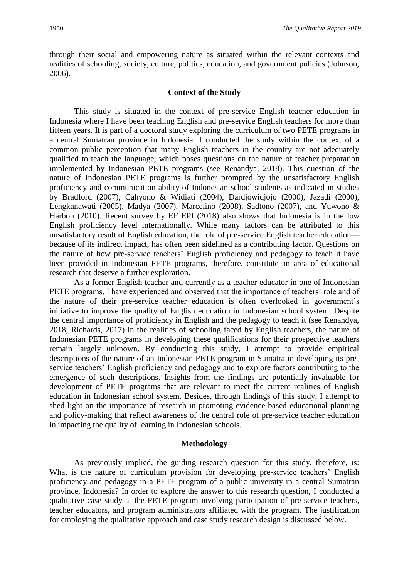through their social and empowering nature as situated within the relevant contexts and realities of schooling, society, culture, politics, education, and government policies (Johnson, 2006).

#### **Context of the Study**

This study is situated in the context of pre-service English teacher education in Indonesia where I have been teaching English and pre-service English teachers for more than fifteen years. It is part of a doctoral study exploring the curriculum of two PETE programs in a central Sumatran province in Indonesia. I conducted the study within the context of a common public perception that many English teachers in the country are not adequately qualified to teach the language, which poses questions on the nature of teacher preparation implemented by Indonesian PETE programs (see Renandya, 2018). This question of the nature of Indonesian PETE programs is further prompted by the unsatisfactory English proficiency and communication ability of Indonesian school students as indicated in studies by Bradford (2007), Cahyono & Widiati (2004), Dardjowidjojo (2000), Jazadi (2000), Lengkanawati (2005), Madya (2007), Marcelino (2008), Sadtono (2007), and Yuwono & Harbon (2010). Recent survey by EF EPI (2018) also shows that Indonesia is in the low English proficiency level internationally. While many factors can be attributed to this unsatisfactory result of English education, the role of pre-service English teacher education because of its indirect impact, has often been sidelined as a contributing factor. Questions on the nature of how pre-service teachers' English proficiency and pedagogy to teach it have been provided in Indonesian PETE programs, therefore, constitute an area of educational research that deserve a further exploration.

As a former English teacher and currently as a teacher educator in one of Indonesian PETE programs, I have experienced and observed that the importance of teachers' role and of the nature of their pre-service teacher education is often overlooked in government's initiative to improve the quality of English education in Indonesian school system. Despite the central importance of proficiency in English and the pedagogy to teach it (see Renandya, 2018; Richards, 2017) in the realities of schooling faced by English teachers, the nature of Indonesian PETE programs in developing these qualifications for their prospective teachers remain largely unknown. By conducting this study, I attempt to provide empirical descriptions of the nature of an Indonesian PETE program in Sumatra in developing its preservice teachers' English proficiency and pedagogy and to explore factors contributing to the emergence of such descriptions. Insights from the findings are potentially invaluable for development of PETE programs that are relevant to meet the current realities of English education in Indonesian school system. Besides, through findings of this study, I attempt to shed light on the importance of research in promoting evidence-based educational planning and policy-making that reflect awareness of the central role of pre-service teacher education in impacting the quality of learning in Indonesian schools.

#### **Methodology**

As previously implied, the guiding research question for this study, therefore, is: What is the nature of curriculum provision for developing pre-service teachers' English proficiency and pedagogy in a PETE program of a public university in a central Sumatran province, Indonesia? In order to explore the answer to this research question, I conducted a qualitative case study at the PETE program involving participation of pre-service teachers, teacher educators, and program administrators affiliated with the program. The justification for employing the qualitative approach and case study research design is discussed below.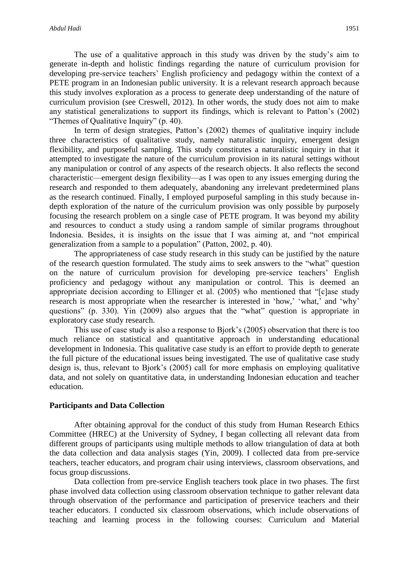The use of a qualitative approach in this study was driven by the study's aim to generate in-depth and holistic findings regarding the nature of curriculum provision for developing pre-service teachers' English proficiency and pedagogy within the context of a PETE program in an Indonesian public university. It is a relevant research approach because this study involves exploration as a process to generate deep understanding of the nature of curriculum provision (see Creswell, 2012). In other words, the study does not aim to make any statistical generalizations to support its findings, which is relevant to Patton's (2002) "Themes of Qualitative Inquiry" (p. 40).

In term of design strategies, Patton's (2002) themes of qualitative inquiry include three characteristics of qualitative study, namely naturalistic inquiry, emergent design flexibility, and purposeful sampling. This study constitutes a naturalistic inquiry in that it attempted to investigate the nature of the curriculum provision in its natural settings without any manipulation or control of any aspects of the research objects. It also reflects the second characteristic—emergent design flexibility—as I was open to any issues emerging during the research and responded to them adequately, abandoning any irrelevant predetermined plans as the research continued. Finally, I employed purposeful sampling in this study because indepth exploration of the nature of the curriculum provision was only possible by purposely focusing the research problem on a single case of PETE program. It was beyond my ability and resources to conduct a study using a random sample of similar programs throughout Indonesia. Besides, it is insights on the issue that I was aiming at, and "not empirical generalization from a sample to a population" (Patton, 2002, p. 40).

The appropriateness of case study research in this study can be justified by the nature of the research question formulated. The study aims to seek answers to the "what" question on the nature of curriculum provision for developing pre-service teachers' English proficiency and pedagogy without any manipulation or control. This is deemed an appropriate decision according to Ellinger et al. (2005) who mentioned that "[c]ase study research is most appropriate when the researcher is interested in 'how,' 'what,' and 'why' questions" (p. 330). Yin (2009) also argues that the "what" question is appropriate in exploratory case study research.

This use of case study is also a response to Bjork's (2005) observation that there is too much reliance on statistical and quantitative approach in understanding educational development in Indonesia. This qualitative case study is an effort to provide depth to generate the full picture of the educational issues being investigated. The use of qualitative case study design is, thus, relevant to Bjork's (2005) call for more emphasis on employing qualitative data, and not solely on quantitative data, in understanding Indonesian education and teacher education.

#### **Participants and Data Collection**

After obtaining approval for the conduct of this study from Human Research Ethics Committee (HREC) at the University of Sydney, I began collecting all relevant data from different groups of participants using multiple methods to allow triangulation of data at both the data collection and data analysis stages (Yin, 2009). I collected data from pre-service teachers, teacher educators, and program chair using interviews, classroom observations, and focus group discussions.

Data collection from pre-service English teachers took place in two phases. The first phase involved data collection using classroom observation technique to gather relevant data through observation of the performance and participation of preservice teachers and their teacher educators. I conducted six classroom observations, which include observations of teaching and learning process in the following courses: Curriculum and Material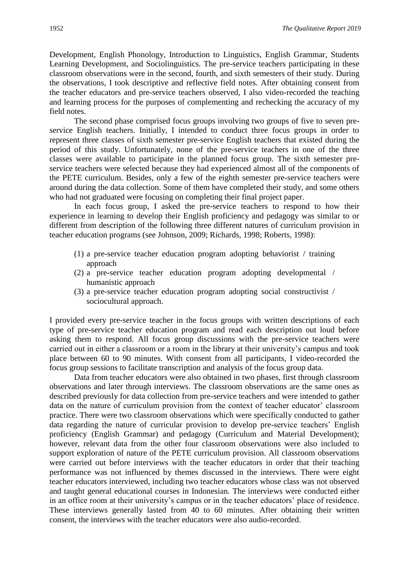Development, English Phonology, Introduction to Linguistics, English Grammar, Students Learning Development, and Sociolinguistics. The pre-service teachers participating in these classroom observations were in the second, fourth, and sixth semesters of their study. During the observations, I took descriptive and reflective field notes. After obtaining consent from the teacher educators and pre-service teachers observed, I also video-recorded the teaching and learning process for the purposes of complementing and rechecking the accuracy of my field notes.

The second phase comprised focus groups involving two groups of five to seven preservice English teachers. Initially, I intended to conduct three focus groups in order to represent three classes of sixth semester pre-service English teachers that existed during the period of this study. Unfortunately, none of the pre-service teachers in one of the three classes were available to participate in the planned focus group. The sixth semester preservice teachers were selected because they had experienced almost all of the components of the PETE curriculum. Besides, only a few of the eighth semester pre-service teachers were around during the data collection. Some of them have completed their study, and some others who had not graduated were focusing on completing their final project paper.

In each focus group, I asked the pre-service teachers to respond to how their experience in learning to develop their English proficiency and pedagogy was similar to or different from description of the following three different natures of curriculum provision in teacher education programs (see Johnson, 2009; Richards, 1998; Roberts, 1998):

- (1) a pre-service teacher education program adopting behaviorist / training approach
- (2) a pre-service teacher education program adopting developmental / humanistic approach
- (3) a pre-service teacher education program adopting social constructivist / sociocultural approach.

I provided every pre-service teacher in the focus groups with written descriptions of each type of pre-service teacher education program and read each description out loud before asking them to respond. All focus group discussions with the pre-service teachers were carried out in either a classroom or a room in the library at their university's campus and took place between 60 to 90 minutes. With consent from all participants, I video-recorded the focus group sessions to facilitate transcription and analysis of the focus group data.

Data from teacher educators were also obtained in two phases, first through classroom observations and later through interviews. The classroom observations are the same ones as described previously for data collection from pre-service teachers and were intended to gather data on the nature of curriculum provision from the context of teacher educator' classroom practice. There were two classroom observations which were specifically conducted to gather data regarding the nature of curricular provision to develop pre-service teachers' English proficiency (English Grammar) and pedagogy (Curriculum and Material Development); however, relevant data from the other four classroom observations were also included to support exploration of nature of the PETE curriculum provision. All classroom observations were carried out before interviews with the teacher educators in order that their teaching performance was not influenced by themes discussed in the interviews. There were eight teacher educators interviewed, including two teacher educators whose class was not observed and taught general educational courses in Indonesian. The interviews were conducted either in an office room at their university's campus or in the teacher educators' place of residence. These interviews generally lasted from 40 to 60 minutes. After obtaining their written consent, the interviews with the teacher educators were also audio-recorded.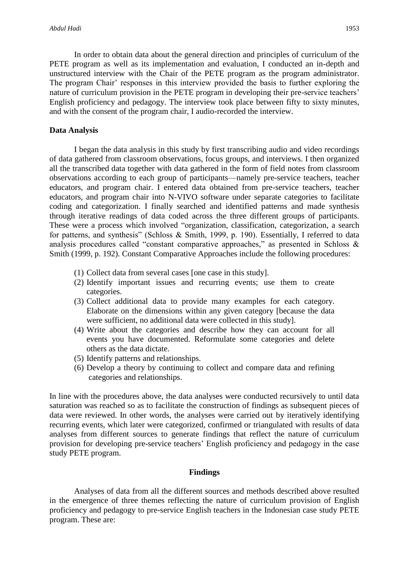In order to obtain data about the general direction and principles of curriculum of the PETE program as well as its implementation and evaluation, I conducted an in-depth and unstructured interview with the Chair of the PETE program as the program administrator. The program Chair' responses in this interview provided the basis to further exploring the nature of curriculum provision in the PETE program in developing their pre-service teachers' English proficiency and pedagogy. The interview took place between fifty to sixty minutes, and with the consent of the program chair, I audio-recorded the interview.

#### **Data Analysis**

I began the data analysis in this study by first transcribing audio and video recordings of data gathered from classroom observations, focus groups, and interviews. I then organized all the transcribed data together with data gathered in the form of field notes from classroom observations according to each group of participants—namely pre-service teachers, teacher educators, and program chair. I entered data obtained from pre-service teachers, teacher educators, and program chair into N-VIVO software under separate categories to facilitate coding and categorization. I finally searched and identified patterns and made synthesis through iterative readings of data coded across the three different groups of participants. These were a process which involved "organization, classification, categorization, a search for patterns, and synthesis" (Schloss & Smith, 1999, p. 190). Essentially, I referred to data analysis procedures called "constant comparative approaches," as presented in Schloss & Smith (1999, p. 192). Constant Comparative Approaches include the following procedures:

- (1) Collect data from several cases [one case in this study].
- (2) Identify important issues and recurring events; use them to create categories.
- (3) Collect additional data to provide many examples for each category. Elaborate on the dimensions within any given category [because the data were sufficient, no additional data were collected in this study].
- (4) Write about the categories and describe how they can account for all events you have documented. Reformulate some categories and delete others as the data dictate.
- (5) Identify patterns and relationships.
- (6) Develop a theory by continuing to collect and compare data and refining categories and relationships.

In line with the procedures above, the data analyses were conducted recursively to until data saturation was reached so as to facilitate the construction of findings as subsequent pieces of data were reviewed. In other words, the analyses were carried out by iteratively identifying recurring events, which later were categorized, confirmed or triangulated with results of data analyses from different sources to generate findings that reflect the nature of curriculum provision for developing pre-service teachers' English proficiency and pedagogy in the case study PETE program.

#### **Findings**

Analyses of data from all the different sources and methods described above resulted in the emergence of three themes reflecting the nature of curriculum provision of English proficiency and pedagogy to pre-service English teachers in the Indonesian case study PETE program. These are: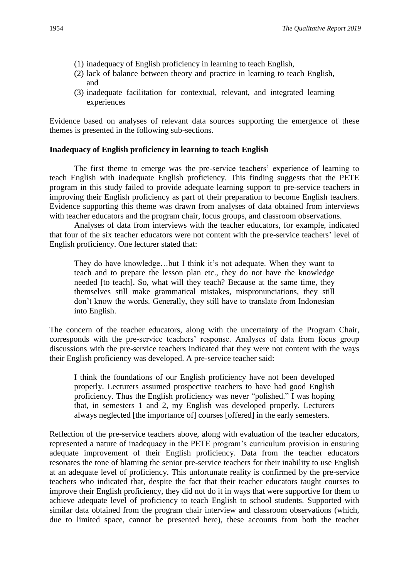- (1) inadequacy of English proficiency in learning to teach English,
- (2) lack of balance between theory and practice in learning to teach English, and
- (3) inadequate facilitation for contextual, relevant, and integrated learning experiences

Evidence based on analyses of relevant data sources supporting the emergence of these themes is presented in the following sub-sections.

#### **Inadequacy of English proficiency in learning to teach English**

The first theme to emerge was the pre-service teachers' experience of learning to teach English with inadequate English proficiency. This finding suggests that the PETE program in this study failed to provide adequate learning support to pre-service teachers in improving their English proficiency as part of their preparation to become English teachers. Evidence supporting this theme was drawn from analyses of data obtained from interviews with teacher educators and the program chair, focus groups, and classroom observations.

Analyses of data from interviews with the teacher educators, for example, indicated that four of the six teacher educators were not content with the pre-service teachers' level of English proficiency. One lecturer stated that:

They do have knowledge…but I think it's not adequate. When they want to teach and to prepare the lesson plan etc., they do not have the knowledge needed [to teach]. So, what will they teach? Because at the same time, they themselves still make grammatical mistakes, mispronunciations, they still don't know the words. Generally, they still have to translate from Indonesian into English.

The concern of the teacher educators, along with the uncertainty of the Program Chair, corresponds with the pre-service teachers' response. Analyses of data from focus group discussions with the pre-service teachers indicated that they were not content with the ways their English proficiency was developed. A pre-service teacher said:

I think the foundations of our English proficiency have not been developed properly. Lecturers assumed prospective teachers to have had good English proficiency. Thus the English proficiency was never "polished." I was hoping that, in semesters 1 and 2, my English was developed properly. Lecturers always neglected [the importance of] courses [offered] in the early semesters.

Reflection of the pre-service teachers above, along with evaluation of the teacher educators, represented a nature of inadequacy in the PETE program's curriculum provision in ensuring adequate improvement of their English proficiency. Data from the teacher educators resonates the tone of blaming the senior pre-service teachers for their inability to use English at an adequate level of proficiency. This unfortunate reality is confirmed by the pre-service teachers who indicated that, despite the fact that their teacher educators taught courses to improve their English proficiency, they did not do it in ways that were supportive for them to achieve adequate level of proficiency to teach English to school students. Supported with similar data obtained from the program chair interview and classroom observations (which, due to limited space, cannot be presented here), these accounts from both the teacher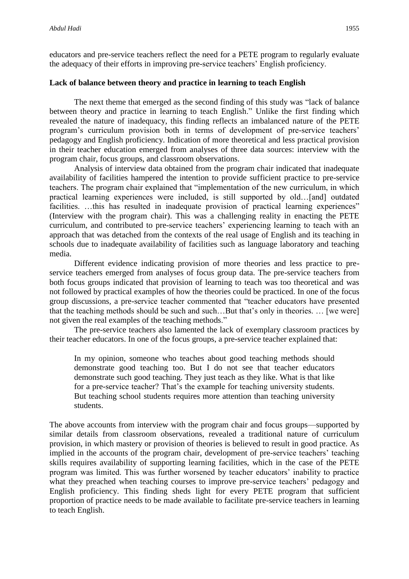educators and pre-service teachers reflect the need for a PETE program to regularly evaluate the adequacy of their efforts in improving pre-service teachers' English proficiency.

#### **Lack of balance between theory and practice in learning to teach English**

The next theme that emerged as the second finding of this study was "lack of balance between theory and practice in learning to teach English." Unlike the first finding which revealed the nature of inadequacy, this finding reflects an imbalanced nature of the PETE program's curriculum provision both in terms of development of pre-service teachers' pedagogy and English proficiency. Indication of more theoretical and less practical provision in their teacher education emerged from analyses of three data sources: interview with the program chair, focus groups, and classroom observations.

Analysis of interview data obtained from the program chair indicated that inadequate availability of facilities hampered the intention to provide sufficient practice to pre-service teachers. The program chair explained that "implementation of the new curriculum, in which practical learning experiences were included, is still supported by old…[and] outdated facilities. ...this has resulted in inadequate provision of practical learning experiences" (Interview with the program chair). This was a challenging reality in enacting the PETE curriculum, and contributed to pre-service teachers' experiencing learning to teach with an approach that was detached from the contexts of the real usage of English and its teaching in schools due to inadequate availability of facilities such as language laboratory and teaching media.

Different evidence indicating provision of more theories and less practice to preservice teachers emerged from analyses of focus group data. The pre-service teachers from both focus groups indicated that provision of learning to teach was too theoretical and was not followed by practical examples of how the theories could be practiced. In one of the focus group discussions, a pre-service teacher commented that "teacher educators have presented that the teaching methods should be such and such…But that's only in theories. … [we were] not given the real examples of the teaching methods."

The pre-service teachers also lamented the lack of exemplary classroom practices by their teacher educators. In one of the focus groups, a pre-service teacher explained that:

In my opinion, someone who teaches about good teaching methods should demonstrate good teaching too. But I do not see that teacher educators demonstrate such good teaching. They just teach as they like. What is that like for a pre-service teacher? That's the example for teaching university students. But teaching school students requires more attention than teaching university students.

The above accounts from interview with the program chair and focus groups—supported by similar details from classroom observations, revealed a traditional nature of curriculum provision, in which mastery or provision of theories is believed to result in good practice. As implied in the accounts of the program chair, development of pre-service teachers' teaching skills requires availability of supporting learning facilities, which in the case of the PETE program was limited. This was further worsened by teacher educators' inability to practice what they preached when teaching courses to improve pre-service teachers' pedagogy and English proficiency. This finding sheds light for every PETE program that sufficient proportion of practice needs to be made available to facilitate pre-service teachers in learning to teach English.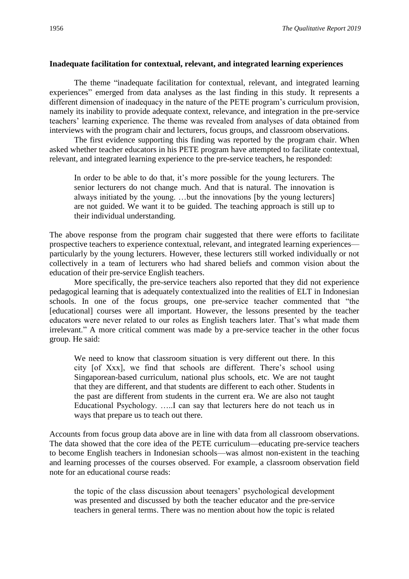#### **Inadequate facilitation for contextual, relevant, and integrated learning experiences**

The theme "inadequate facilitation for contextual, relevant, and integrated learning experiences" emerged from data analyses as the last finding in this study. It represents a different dimension of inadequacy in the nature of the PETE program's curriculum provision, namely its inability to provide adequate context, relevance, and integration in the pre-service teachers' learning experience. The theme was revealed from analyses of data obtained from interviews with the program chair and lecturers, focus groups, and classroom observations.

The first evidence supporting this finding was reported by the program chair. When asked whether teacher educators in his PETE program have attempted to facilitate contextual, relevant, and integrated learning experience to the pre-service teachers, he responded:

In order to be able to do that, it's more possible for the young lecturers. The senior lecturers do not change much. And that is natural. The innovation is always initiated by the young. …but the innovations [by the young lecturers] are not guided. We want it to be guided. The teaching approach is still up to their individual understanding.

The above response from the program chair suggested that there were efforts to facilitate prospective teachers to experience contextual, relevant, and integrated learning experiences particularly by the young lecturers. However, these lecturers still worked individually or not collectively in a team of lecturers who had shared beliefs and common vision about the education of their pre-service English teachers.

More specifically, the pre-service teachers also reported that they did not experience pedagogical learning that is adequately contextualized into the realities of ELT in Indonesian schools. In one of the focus groups, one pre-service teacher commented that "the [educational] courses were all important. However, the lessons presented by the teacher educators were never related to our roles as English teachers later. That's what made them irrelevant." A more critical comment was made by a pre-service teacher in the other focus group. He said:

We need to know that classroom situation is very different out there. In this city [of Xxx], we find that schools are different. There's school using Singaporean-based curriculum, national plus schools, etc. We are not taught that they are different, and that students are different to each other. Students in the past are different from students in the current era. We are also not taught Educational Psychology. …..I can say that lecturers here do not teach us in ways that prepare us to teach out there.

Accounts from focus group data above are in line with data from all classroom observations. The data showed that the core idea of the PETE curriculum—educating pre-service teachers to become English teachers in Indonesian schools—was almost non-existent in the teaching and learning processes of the courses observed. For example, a classroom observation field note for an educational course reads:

the topic of the class discussion about teenagers' psychological development was presented and discussed by both the teacher educator and the pre-service teachers in general terms. There was no mention about how the topic is related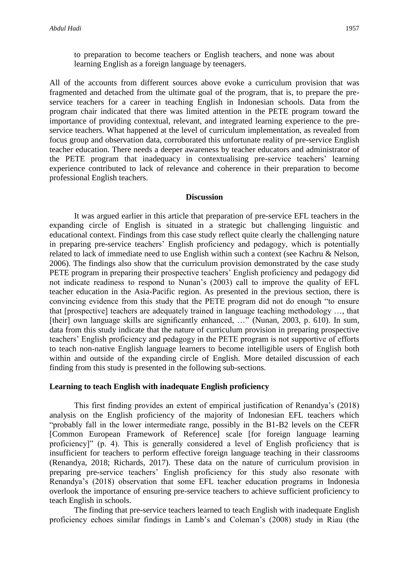to preparation to become teachers or English teachers, and none was about learning English as a foreign language by teenagers.

All of the accounts from different sources above evoke a curriculum provision that was fragmented and detached from the ultimate goal of the program, that is, to prepare the preservice teachers for a career in teaching English in Indonesian schools. Data from the program chair indicated that there was limited attention in the PETE program toward the importance of providing contextual, relevant, and integrated learning experience to the preservice teachers. What happened at the level of curriculum implementation, as revealed from focus group and observation data, corroborated this unfortunate reality of pre-service English teacher education. There needs a deeper awareness by teacher educators and administrator of the PETE program that inadequacy in contextualising pre-service teachers' learning experience contributed to lack of relevance and coherence in their preparation to become professional English teachers.

#### **Discussion**

It was argued earlier in this article that preparation of pre-service EFL teachers in the expanding circle of English is situated in a strategic but challenging linguistic and educational context. Findings from this case study reflect quite clearly the challenging nature in preparing pre-service teachers' English proficiency and pedagogy, which is potentially related to lack of immediate need to use English within such a context (see Kachru & Nelson, 2006). The findings also show that the curriculum provision demonstrated by the case study PETE program in preparing their prospective teachers' English proficiency and pedagogy did not indicate readiness to respond to Nunan's (2003) call to improve the quality of EFL teacher education in the Asia-Pacific region. As presented in the previous section, there is convincing evidence from this study that the PETE program did not do enough "to ensure that [prospective] teachers are adequately trained in language teaching methodology …, that [their] own language skills are significantly enhanced, ..." (Nunan, 2003, p. 610). In sum, data from this study indicate that the nature of curriculum provision in preparing prospective teachers' English proficiency and pedagogy in the PETE program is not supportive of efforts to teach non-native English language learners to become intelligible users of English both within and outside of the expanding circle of English. More detailed discussion of each finding from this study is presented in the following sub-sections.

#### **Learning to teach English with inadequate English proficiency**

This first finding provides an extent of empirical justification of Renandya's (2018) analysis on the English proficiency of the majority of Indonesian EFL teachers which "probably fall in the lower intermediate range, possibly in the B1-B2 levels on the CEFR [Common European Framework of Reference] scale [for foreign language learning proficiency]" (p. 4). This is generally considered a level of English proficiency that is insufficient for teachers to perform effective foreign language teaching in their classrooms (Renandya, 2018; Richards, 2017). These data on the nature of curriculum provision in preparing pre-service teachers' English proficiency for this study also resonate with Renandya's (2018) observation that some EFL teacher education programs in Indonesia overlook the importance of ensuring pre-service teachers to achieve sufficient proficiency to teach English in schools.

The finding that pre-service teachers learned to teach English with inadequate English proficiency echoes similar findings in Lamb's and Coleman's (2008) study in Riau (the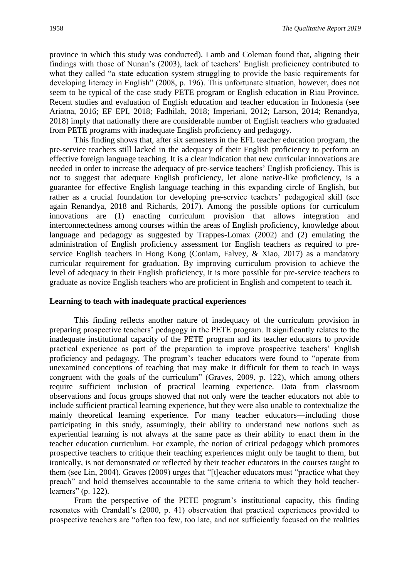province in which this study was conducted). Lamb and Coleman found that, aligning their findings with those of Nunan's (2003), lack of teachers' English proficiency contributed to what they called "a state education system struggling to provide the basic requirements for developing literacy in English" (2008, p. 196). This unfortunate situation, however, does not seem to be typical of the case study PETE program or English education in Riau Province. Recent studies and evaluation of English education and teacher education in Indonesia (see Ariatna, 2016; EF EPI, 2018; Fadhilah, 2018; Imperiani, 2012; Larson, 2014; Renandya, 2018) imply that nationally there are considerable number of English teachers who graduated from PETE programs with inadequate English proficiency and pedagogy.

This finding shows that, after six semesters in the EFL teacher education program, the pre-service teachers still lacked in the adequacy of their English proficiency to perform an effective foreign language teaching. It is a clear indication that new curricular innovations are needed in order to increase the adequacy of pre-service teachers' English proficiency. This is not to suggest that adequate English proficiency, let alone native-like proficiency, is a guarantee for effective English language teaching in this expanding circle of English, but rather as a crucial foundation for developing pre-service teachers' pedagogical skill (see again Renandya, 2018 and Richards, 2017). Among the possible options for curriculum innovations are (1) enacting curriculum provision that allows integration and interconnectedness among courses within the areas of English proficiency, knowledge about language and pedagogy as suggested by Trappes-Lomax (2002) and (2) emulating the administration of English proficiency assessment for English teachers as required to preservice English teachers in Hong Kong (Coniam, Falvey, & Xiao, 2017) as a mandatory curricular requirement for graduation. By improving curriculum provision to achieve the level of adequacy in their English proficiency, it is more possible for pre-service teachers to graduate as novice English teachers who are proficient in English and competent to teach it.

#### **Learning to teach with inadequate practical experiences**

This finding reflects another nature of inadequacy of the curriculum provision in preparing prospective teachers' pedagogy in the PETE program. It significantly relates to the inadequate institutional capacity of the PETE program and its teacher educators to provide practical experience as part of the preparation to improve prospective teachers' English proficiency and pedagogy. The program's teacher educators were found to "operate from unexamined conceptions of teaching that may make it difficult for them to teach in ways congruent with the goals of the curriculum" (Graves, 2009, p. 122), which among others require sufficient inclusion of practical learning experience. Data from classroom observations and focus groups showed that not only were the teacher educators not able to include sufficient practical learning experience, but they were also unable to contextualize the mainly theoretical learning experience. For many teacher educators—including those participating in this study, assumingly, their ability to understand new notions such as experiential learning is not always at the same pace as their ability to enact them in the teacher education curriculum. For example, the notion of critical pedagogy which promotes prospective teachers to critique their teaching experiences might only be taught to them, but ironically, is not demonstrated or reflected by their teacher educators in the courses taught to them (see Lin, 2004). Graves (2009) urges that "[t]eacher educators must "practice what they preach" and hold themselves accountable to the same criteria to which they hold teacherlearners" (p. 122).

From the perspective of the PETE program's institutional capacity, this finding resonates with Crandall's (2000, p. 41) observation that practical experiences provided to prospective teachers are "often too few, too late, and not sufficiently focused on the realities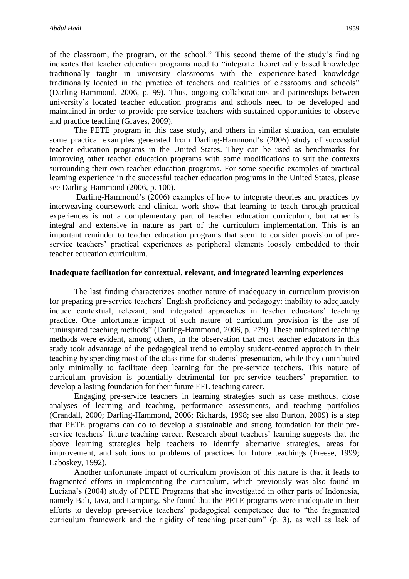of the classroom, the program, or the school." This second theme of the study's finding indicates that teacher education programs need to "integrate theoretically based knowledge traditionally taught in university classrooms with the experience-based knowledge traditionally located in the practice of teachers and realities of classrooms and schools" (Darling-Hammond, 2006, p. 99). Thus, ongoing collaborations and partnerships between university's located teacher education programs and schools need to be developed and maintained in order to provide pre-service teachers with sustained opportunities to observe and practice teaching (Graves, 2009).

The PETE program in this case study, and others in similar situation, can emulate some practical examples generated from Darling-Hammond's (2006) study of successful teacher education programs in the United States. They can be used as benchmarks for improving other teacher education programs with some modifications to suit the contexts surrounding their own teacher education programs. For some specific examples of practical learning experience in the successful teacher education programs in the United States, please see Darling-Hammond (2006, p. 100).

Darling-Hammond's (2006) examples of how to integrate theories and practices by interweaving coursework and clinical work show that learning to teach through practical experiences is not a complementary part of teacher education curriculum, but rather is integral and extensive in nature as part of the curriculum implementation. This is an important reminder to teacher education programs that seem to consider provision of preservice teachers' practical experiences as peripheral elements loosely embedded to their teacher education curriculum.

#### **Inadequate facilitation for contextual, relevant, and integrated learning experiences**

The last finding characterizes another nature of inadequacy in curriculum provision for preparing pre-service teachers' English proficiency and pedagogy: inability to adequately induce contextual, relevant, and integrated approaches in teacher educators' teaching practice. One unfortunate impact of such nature of curriculum provision is the use of "uninspired teaching methods" (Darling-Hammond, 2006, p. 279). These uninspired teaching methods were evident, among others, in the observation that most teacher educators in this study took advantage of the pedagogical trend to employ student-centred approach in their teaching by spending most of the class time for students' presentation, while they contributed only minimally to facilitate deep learning for the pre-service teachers. This nature of curriculum provision is potentially detrimental for pre-service teachers' preparation to develop a lasting foundation for their future EFL teaching career.

Engaging pre-service teachers in learning strategies such as case methods, close analyses of learning and teaching, performance assessments, and teaching portfolios (Crandall, 2000; Darling-Hammond, 2006; Richards, 1998; see also Burton, 2009) is a step that PETE programs can do to develop a sustainable and strong foundation for their preservice teachers' future teaching career. Research about teachers' learning suggests that the above learning strategies help teachers to identify alternative strategies, areas for improvement, and solutions to problems of practices for future teachings (Freese, 1999; Laboskey, 1992).

Another unfortunate impact of curriculum provision of this nature is that it leads to fragmented efforts in implementing the curriculum, which previously was also found in Luciana's (2004) study of PETE Programs that she investigated in other parts of Indonesia, namely Bali, Java, and Lampung. She found that the PETE programs were inadequate in their efforts to develop pre-service teachers' pedagogical competence due to "the fragmented curriculum framework and the rigidity of teaching practicum" (p. 3), as well as lack of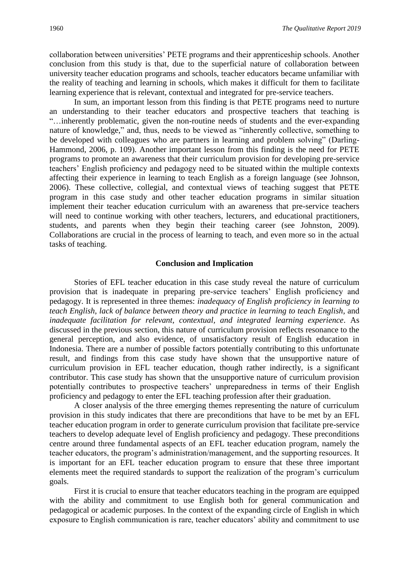collaboration between universities' PETE programs and their apprenticeship schools. Another conclusion from this study is that, due to the superficial nature of collaboration between university teacher education programs and schools, teacher educators became unfamiliar with the reality of teaching and learning in schools, which makes it difficult for them to facilitate learning experience that is relevant, contextual and integrated for pre-service teachers.

In sum, an important lesson from this finding is that PETE programs need to nurture an understanding to their teacher educators and prospective teachers that teaching is "…inherently problematic, given the non-routine needs of students and the ever-expanding nature of knowledge," and, thus, needs to be viewed as "inherently collective, something to be developed with colleagues who are partners in learning and problem solving" (Darling-Hammond, 2006, p. 109). Another important lesson from this finding is the need for PETE programs to promote an awareness that their curriculum provision for developing pre-service teachers' English proficiency and pedagogy need to be situated within the multiple contexts affecting their experience in learning to teach English as a foreign language (see Johnson, 2006). These collective, collegial, and contextual views of teaching suggest that PETE program in this case study and other teacher education programs in similar situation implement their teacher education curriculum with an awareness that pre-service teachers will need to continue working with other teachers, lecturers, and educational practitioners, students, and parents when they begin their teaching career (see Johnston, 2009). Collaborations are crucial in the process of learning to teach, and even more so in the actual tasks of teaching.

#### **Conclusion and Implication**

Stories of EFL teacher education in this case study reveal the nature of curriculum provision that is inadequate in preparing pre-service teachers' English proficiency and pedagogy. It is represented in three themes: *inadequacy of English proficiency in learning to teach English*, *lack of balance between theory and practice in learning to teach English*, and *inadequate facilitation for relevant, contextual, and integrated learning experience*. As discussed in the previous section, this nature of curriculum provision reflects resonance to the general perception, and also evidence, of unsatisfactory result of English education in Indonesia. There are a number of possible factors potentially contributing to this unfortunate result, and findings from this case study have shown that the unsupportive nature of curriculum provision in EFL teacher education, though rather indirectly, is a significant contributor. This case study has shown that the unsupportive nature of curriculum provision potentially contributes to prospective teachers' unpreparedness in terms of their English proficiency and pedagogy to enter the EFL teaching profession after their graduation.

A closer analysis of the three emerging themes representing the nature of curriculum provision in this study indicates that there are preconditions that have to be met by an EFL teacher education program in order to generate curriculum provision that facilitate pre-service teachers to develop adequate level of English proficiency and pedagogy. These preconditions centre around three fundamental aspects of an EFL teacher education program, namely the teacher educators, the program's administration/management, and the supporting resources. It is important for an EFL teacher education program to ensure that these three important elements meet the required standards to support the realization of the program's curriculum goals.

First it is crucial to ensure that teacher educators teaching in the program are equipped with the ability and commitment to use English both for general communication and pedagogical or academic purposes. In the context of the expanding circle of English in which exposure to English communication is rare, teacher educators' ability and commitment to use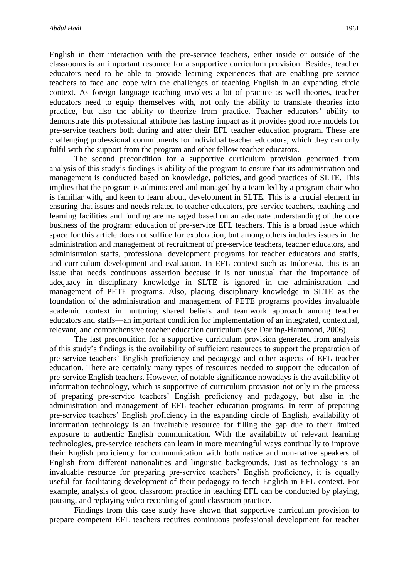English in their interaction with the pre-service teachers, either inside or outside of the classrooms is an important resource for a supportive curriculum provision. Besides, teacher educators need to be able to provide learning experiences that are enabling pre-service teachers to face and cope with the challenges of teaching English in an expanding circle context. As foreign language teaching involves a lot of practice as well theories, teacher educators need to equip themselves with, not only the ability to translate theories into practice, but also the ability to theorize from practice. Teacher educators' ability to demonstrate this professional attribute has lasting impact as it provides good role models for pre-service teachers both during and after their EFL teacher education program. These are challenging professional commitments for individual teacher educators, which they can only fulfil with the support from the program and other fellow teacher educators.

The second precondition for a supportive curriculum provision generated from analysis of this study's findings is ability of the program to ensure that its administration and management is conducted based on knowledge, policies, and good practices of SLTE. This implies that the program is administered and managed by a team led by a program chair who is familiar with, and keen to learn about, development in SLTE. This is a crucial element in ensuring that issues and needs related to teacher educators, pre-service teachers, teaching and learning facilities and funding are managed based on an adequate understanding of the core business of the program: education of pre-service EFL teachers. This is a broad issue which space for this article does not suffice for exploration, but among others includes issues in the administration and management of recruitment of pre-service teachers, teacher educators, and administration staffs, professional development programs for teacher educators and staffs, and curriculum development and evaluation. In EFL context such as Indonesia, this is an issue that needs continuous assertion because it is not unusual that the importance of adequacy in disciplinary knowledge in SLTE is ignored in the administration and management of PETE programs. Also, placing disciplinary knowledge in SLTE as the foundation of the administration and management of PETE programs provides invaluable academic context in nurturing shared beliefs and teamwork approach among teacher educators and staffs—an important condition for implementation of an integrated, contextual, relevant, and comprehensive teacher education curriculum (see Darling-Hammond, 2006).

The last precondition for a supportive curriculum provision generated from analysis of this study's findings is the availability of sufficient resources to support the preparation of pre-service teachers' English proficiency and pedagogy and other aspects of EFL teacher education. There are certainly many types of resources needed to support the education of pre-service English teachers. However, of notable significance nowadays is the availability of information technology, which is supportive of curriculum provision not only in the process of preparing pre-service teachers' English proficiency and pedagogy, but also in the administration and management of EFL teacher education programs. In term of preparing pre-service teachers' English proficiency in the expanding circle of English, availability of information technology is an invaluable resource for filling the gap due to their limited exposure to authentic English communication. With the availability of relevant learning technologies, pre-service teachers can learn in more meaningful ways continually to improve their English proficiency for communication with both native and non-native speakers of English from different nationalities and linguistic backgrounds. Just as technology is an invaluable resource for preparing pre-service teachers' English proficiency, it is equally useful for facilitating development of their pedagogy to teach English in EFL context. For example, analysis of good classroom practice in teaching EFL can be conducted by playing, pausing, and replaying video recording of good classroom practice.

Findings from this case study have shown that supportive curriculum provision to prepare competent EFL teachers requires continuous professional development for teacher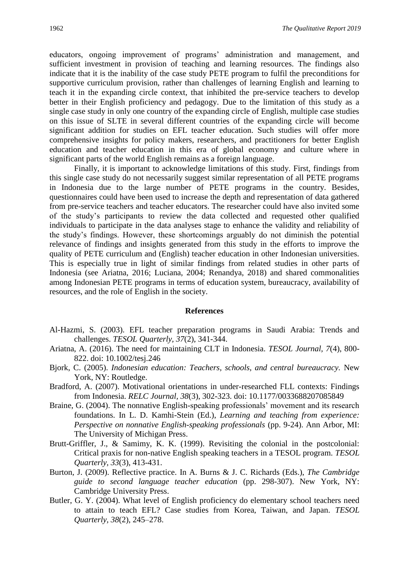educators, ongoing improvement of programs' administration and management, and sufficient investment in provision of teaching and learning resources. The findings also indicate that it is the inability of the case study PETE program to fulfil the preconditions for supportive curriculum provision, rather than challenges of learning English and learning to teach it in the expanding circle context, that inhibited the pre-service teachers to develop better in their English proficiency and pedagogy. Due to the limitation of this study as a single case study in only one country of the expanding circle of English, multiple case studies on this issue of SLTE in several different countries of the expanding circle will become significant addition for studies on EFL teacher education. Such studies will offer more comprehensive insights for policy makers, researchers, and practitioners for better English education and teacher education in this era of global economy and culture where in significant parts of the world English remains as a foreign language.

Finally, it is important to acknowledge limitations of this study. First, findings from this single case study do not necessarily suggest similar representation of all PETE programs in Indonesia due to the large number of PETE programs in the country. Besides, questionnaires could have been used to increase the depth and representation of data gathered from pre-service teachers and teacher educators. The researcher could have also invited some of the study's participants to review the data collected and requested other qualified individuals to participate in the data analyses stage to enhance the validity and reliability of the study's findings. However, these shortcomings arguably do not diminish the potential relevance of findings and insights generated from this study in the efforts to improve the quality of PETE curriculum and (English) teacher education in other Indonesian universities. This is especially true in light of similar findings from related studies in other parts of Indonesia (see Ariatna, 2016; Luciana, 2004; Renandya, 2018) and shared commonalities among Indonesian PETE programs in terms of education system, bureaucracy, availability of resources, and the role of English in the society.

#### **References**

- Al-Hazmi, S. (2003). EFL teacher preparation programs in Saudi Arabia: Trends and challenges. *TESOL Quarterly, 37*(2), 341-344.
- Ariatna, A. (2016). The need for maintaining CLT in Indonesia. *TESOL Journal, 7*(4), 800- 822. doi: 10.1002/tesj.246
- Bjork, C. (2005). *Indonesian education: Teachers, schools, and central bureaucracy.* New York, NY: Routledge.
- Bradford, A. (2007). Motivational orientations in under-researched FLL contexts: Findings from Indonesia. *RELC Journal, 38*(3), 302-323. doi: 10.1177/0033688207085849
- Braine, G. (2004). The nonnative English-speaking professionals' movement and its research foundations. In L. D. Kamhi-Stein (Ed.), *Learning and teaching from experience: Perspective on nonnative English-speaking professionals* (pp. 9-24). Ann Arbor, MI: The University of Michigan Press.
- Brutt-Griffler, J., & Samimy, K. K. (1999). Revisiting the colonial in the postcolonial: Critical praxis for non-native English speaking teachers in a TESOL program. *TESOL Quarterly, 33*(3), 413-431.
- Burton, J. (2009). Reflective practice. In A. Burns & J. C. Richards (Eds.), *The Cambridge guide to second language teacher education* (pp. 298-307). New York, NY: Cambridge University Press.
- Butler, G. Y. (2004). What level of English proficiency do elementary school teachers need to attain to teach EFL? Case studies from Korea, Taiwan, and Japan. *TESOL Quarterly, 38*(2), 245–278.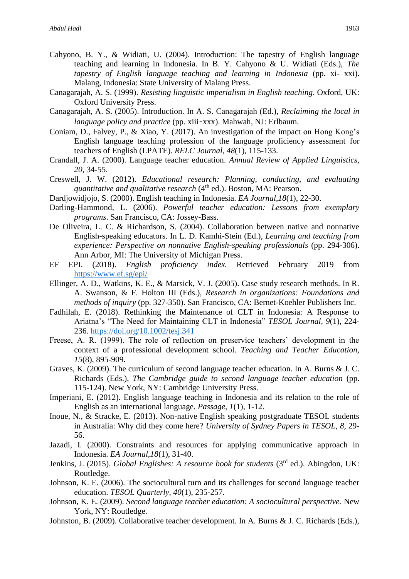- Cahyono, B. Y., & Widiati, U. (2004). Introduction: The tapestry of English language teaching and learning in Indonesia. In B. Y. Cahyono & U. Widiati (Eds.), *The tapestry of English language teaching and learning in Indonesia* (pp. xi- xxi). Malang, Indonesia: State University of Malang Press.
- Canagarajah, A. S. (1999). *Resisting linguistic imperialism in English teaching*. Oxford, UK: Oxford University Press.
- Canagarajah, A. S. (2005). Introduction. In A. S. Canagarajah (Ed.), *Reclaiming the local in language policy and practice* (pp. xiii–xxx). Mahwah, NJ: Erlbaum.
- Coniam, D., Falvey, P., & Xiao, Y. (2017). An investigation of the impact on Hong Kong's English language teaching profession of the language proficiency assessment for teachers of English (LPATE). *RELC Journal, 48*(1), 115-133.
- Crandall, J. A. (2000). Language teacher education. *Annual Review of Applied Linguistics, 20,* 34-55.
- Creswell, J. W. (2012). *Educational research: Planning, conducting, and evaluating quantitative and qualitative research* (4<sup>th</sup> ed.). Boston, MA: Pearson.
- Dardjowidjojo, S. (2000). English teaching in Indonesia. *EA Journal,18*(1), 22-30.
- Darling-Hammond, L. (2006). *Powerful teacher education: Lessons from exemplary programs*. San Francisco, CA: Jossey-Bass.
- De Oliveira, L. C. & Richardson, S. (2004). Collaboration between native and nonnative English-speaking educators. In L. D. Kamhi-Stein (Ed.), *Learning and teaching from experience: Perspective on nonnative English-speaking professionals* (pp. 294-306). Ann Arbor, MI: The University of Michigan Press.
- EF EPI. (2018). *English proficiency index.* Retrieved February 2019 from <https://www.ef.sg/epi/>
- Ellinger, A. D., Watkins, K. E., & Marsick, V. J. (2005). Case study research methods. In R. A. Swanson, & F. Holton III (Eds.), *Research in organizations: Foundations and methods of inquiry* (pp. 327-350). San Francisco, CA: Bernet-Koehler Publishers Inc.
- Fadhilah, E. (2018). Rethinking the Maintenance of CLT in Indonesia: A Response to Ariatna's "The Need for Maintaining CLT in Indonesia" *TESOL Journal, 9*(1), 224- 236.<https://doi.org/10.1002/tesj.341>
- Freese, A. R. (1999). The role of reflection on preservice teachers' development in the context of a professional development school. *Teaching and Teacher Education, 15*(8), 895-909.
- Graves, K. (2009). The curriculum of second language teacher education. In A. Burns & J. C. Richards (Eds.), *The Cambridge guide to second language teacher education* (pp. 115-124). New York, NY: Cambridge University Press.
- Imperiani, E. (2012). English language teaching in Indonesia and its relation to the role of English as an international language. *Passage, 1*(1), 1-12.
- Inoue, N., & Stracke, E. (2013). Non-native English speaking postgraduate TESOL students in Australia: Why did they come here? *University of Sydney Papers in TESOL, 8*, 29- 56.
- Jazadi, I. (2000). Constraints and resources for applying communicative approach in Indonesia. *EA Journal,18*(1), 31-40.
- Jenkins, J. (2015). *Global Englishes: A resource book for students* (3<sup>rd</sup> ed.). Abingdon, UK: Routledge.
- Johnson, K. E. (2006). The sociocultural turn and its challenges for second language teacher education. *TESOL Quarterly, 40*(1), 235-257.
- Johnson, K. E. (2009). *Second language teacher education: A sociocultural perspective.* New York, NY: Routledge.
- Johnston, B. (2009). Collaborative teacher development. In A. Burns & J. C. Richards (Eds.),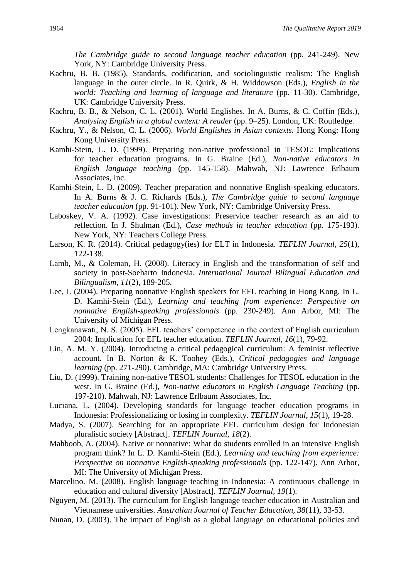*The Cambridge guide to second language teacher education* (pp. 241-249). New York, NY: Cambridge University Press.

- Kachru, B. B. (1985). Standards, codification, and sociolinguistic realism: The English language in the outer circle. In R. Quirk, & H. Widdowson (Eds.), *English in the world: Teaching and learning of language and literature* (pp. 11-30). Cambridge, UK: Cambridge University Press.
- Kachru, B. B., & Nelson, C. L. (2001). World Englishes. In A. Burns, & C. Coffin (Eds.), *Analysing English in a global context: A reader* (pp. 9–25). London, UK: Routledge.
- Kachru, Y., & Nelson, C. L. (2006). *World Englishes in Asian contexts.* Hong Kong: Hong Kong University Press.
- Kamhi-Stein, L. D. (1999). Preparing non-native professional in TESOL: Implications for teacher education programs. In G. Braine (Ed.), *Non-native educators in English language teaching* (pp. 145-158). Mahwah, NJ: Lawrence Erlbaum Associates, Inc.
- Kamhi-Stein, L. D. (2009). Teacher preparation and nonnative English-speaking educators. In A. Burns & J. C. Richards (Eds.), *The Cambridge guide to second language teacher education* (pp. 91-101). New York, NY: Cambridge University Press.
- Laboskey, V. A. (1992). Case investigations: Preservice teacher research as an aid to reflection. In J. Shulman (Ed.), *Case methods in teacher education* (pp. 175-193)*.*  New York, NY: Teachers College Press.
- Larson, K. R. (2014). Critical pedagogy(ies) for ELT in Indonesia. *TEFLIN Journal, 25*(1), 122-138.
- Lamb, M., & Coleman, H. (2008). Literacy in English and the transformation of self and society in post-Soeharto Indonesia. *International Journal Bilingual Education and Bilingualism, 11*(2), 189-205.
- Lee, I. (2004). Preparing nonnative English speakers for EFL teaching in Hong Kong. In L. D. Kamhi-Stein (Ed.), *Learning and teaching from experience: Perspective on nonnative English-speaking professionals* (pp. 230-249). Ann Arbor, MI: The University of Michigan Press.
- Lengkanawati, N. S. (2005). EFL teachers' competence in the context of English curriculum 2004: Implication for EFL teacher education. *TEFLIN Journal, 16*(1), 79-92.
- Lin, A. M. Y. (2004). Introducing a critical pedagogical curriculum: A feminist reflective account. In B. Norton & K. Toohey (Eds.), *Critical pedagogies and language learning* (pp. 271-290). Cambridge, MA: Cambridge University Press.
- Liu, D. (1999). Training non-native TESOL students: Challenges for TESOL education in the west. In G. Braine (Ed.), *Non-native educators in English Language Teaching* (pp. 197-210). Mahwah, NJ: Lawrence Erlbaum Associates, Inc.
- Luciana, L. (2004). Developing standards for language teacher education programs in Indonesia: Professionalizing or losing in complexity. *TEFLIN Journal*, *15*(1), 19-28.
- Madya, S. (2007). Searching for an appropriate EFL curriculum design for Indonesian pluralistic society [Abstract]. *TEFLIN Journal, 18*(2).
- Mahboob, A. (2004). Native or nonnative: What do students enrolled in an intensive English program think? In L. D. Kamhi-Stein (Ed.), *Learning and teaching from experience: Perspective on nonnative English-speaking professionals* (pp. 122-147). Ann Arbor, MI: The University of Michigan Press.
- Marcelino. M. (2008). English language teaching in Indonesia: A continuous challenge in education and cultural diversity [Abstract]. *TEFLIN Journal, 19*(1).
- Nguyen, M. (2013). The curriculum for English language teacher education in Australian and Vietnamese universities. *Australian Journal of Teacher Education, 38*(11), 33-53.
- Nunan, D. (2003). The impact of English as a global language on educational policies and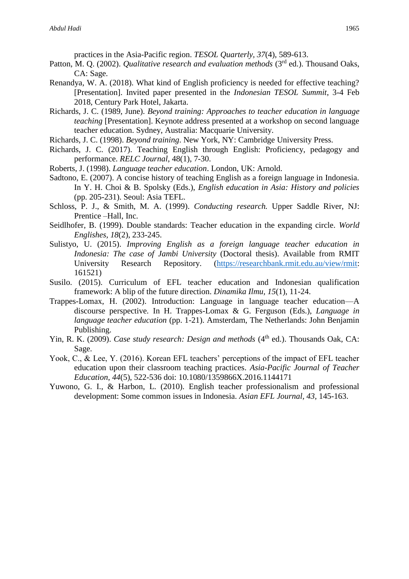practices in the Asia-Pacific region. *TESOL Quarterly, 37*(4), 589-613.

- Patton, M. Q. (2002). *Qualitative research and evaluation methods* (3<sup>rd</sup> ed.). Thousand Oaks, CA: Sage.
- Renandya, W. A. (2018). What kind of English proficiency is needed for effective teaching? [Presentation]. Invited paper presented in the *Indonesian TESOL Summit*, 3-4 Feb 2018, Century Park Hotel, Jakarta.
- Richards, J. C. (1989, June). *Beyond training: Approaches to teacher education in language teaching* [Presentation]. Keynote address presented at a workshop on second language teacher education. Sydney, Australia: Macquarie University.
- Richards, J. C. (1998). *Beyond training*. New York, NY: Cambridge University Press.
- Richards, J. C. (2017). Teaching English through English: Proficiency, pedagogy and performance. *RELC Journal*, 48(1), 7-30.
- Roberts, J. (1998). *Language teacher education*. London, UK: Arnold.
- Sadtono, E. (2007). A concise history of teaching English as a foreign language in Indonesia. In Y. H. Choi & B. Spolsky (Eds.), *English education in Asia: History and policies*  (pp. 205-231). Seoul: Asia TEFL.
- Schloss, P. J., & Smith, M. A. (1999). *Conducting research.* Upper Saddle River, NJ: Prentice –Hall, Inc.
- Seidlhofer, B. (1999). Double standards: Teacher education in the expanding circle. *World Englishes, 18*(2), 233-245.
- Sulistyo, U. (2015). *Improving English as a foreign language teacher education in Indonesia: The case of Jambi University* (Doctoral thesis). Available from RMIT University Research Repository. [\(https://researchbank.rmit.edu.au/view/rmit:](https://researchbank.rmit.edu.au/view/rmit) 161521)
- Susilo. (2015). Curriculum of EFL teacher education and Indonesian qualification framework: A blip of the future direction. *Dinamika Ilmu, 15*(1), 11-24.
- Trappes-Lomax, H. (2002). Introduction: Language in language teacher education—A discourse perspective. In H. Trappes-Lomax & G. Ferguson (Eds.), *Language in language teacher education* (pp. 1-21). Amsterdam, The Netherlands: John Benjamin Publishing.
- Yin, R. K. (2009). *Case study research: Design and methods* (4<sup>th</sup> ed.). Thousands Oak, CA: Sage.
- Yook, C., & Lee, Y. (2016). Korean EFL teachers' perceptions of the impact of EFL teacher education upon their classroom teaching practices. *Asia-Pacific Journal of Teacher Education*, *44*(5), 522-536 doi: 10.1080/1359866X.2016.1144171
- Yuwono, G. I., & Harbon, L. (2010). English teacher professionalism and professional development: Some common issues in Indonesia. *Asian EFL Journal, 43,* 145-163.